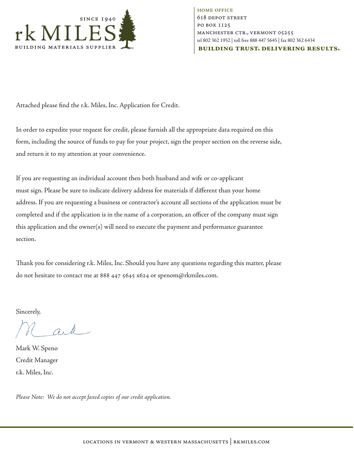

**HOME OFFICE 618 DEPOT STREET** PO BOX 1125 MANCHESTER CTR., VERMONT 05255 tel 802 362 1952 | toll free 888 447 5645 | fax 802 362 6434 **BUILDING TRUST, DELIVERING RESULTS.** 

Attached please find the r.k. Miles, Inc. Application for Credit.

In order to expedite your request for credit, please furnish all the appropriate data required on this form, including the source of funds to pay for your project, sign the proper section on the reverse side, and return it to my attention at your convenience.

If you are requesting an individual account then both husband and wife or co-applicant must sign. Please be sure to indicate delivery address for materials if different than your home address. If you are requesting a business or contractor's account all sections of the application must be completed and if the application is in the name of a corporation, an officer of the company must sign this application and the owner(s) will need to execute the payment and performance guarantee section.

Thank you for considering r.k. Miles, Inc. Should you have any questions regarding this matter, please do not hesitate to contact me at 888 447 5645 x624 or spenom@rkmiles.com.

Sincerely,

Mark W. Speno Credit Manager r.k. Miles, Inc.

*Please Note: We do not accept faxed copies of our credit application.*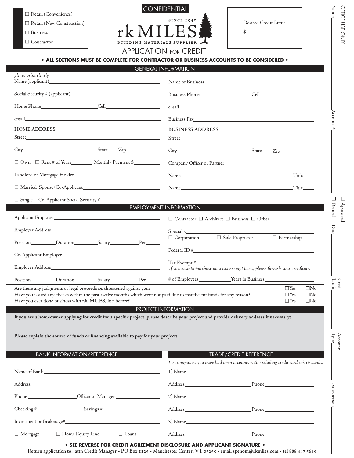| $\Box$ Retail (Convenience)      |
|----------------------------------|
| $\Box$ Retail (New Construction) |
| $\Box$ Business                  |



| □ Retail (Convenience)<br>$\Box$ Retail (New Construction)<br>$\Box$ Business<br>$\Box$<br>Contractor                                                                                                                                                                                                                                                                                                     | <b>BUILDING MATERIALS SUPPLIER</b> | <b>CONFIDENTIAL</b><br><b>SINCE 1940</b><br><b>APPLICATION FOR CREDIT</b>                                                                                                                                                      | Desired Credit Limit<br>$\sim$                                                                                          |                                                                               | Nam<br>OFFICE<br>SSC<br>ONIY |
|-----------------------------------------------------------------------------------------------------------------------------------------------------------------------------------------------------------------------------------------------------------------------------------------------------------------------------------------------------------------------------------------------------------|------------------------------------|--------------------------------------------------------------------------------------------------------------------------------------------------------------------------------------------------------------------------------|-------------------------------------------------------------------------------------------------------------------------|-------------------------------------------------------------------------------|------------------------------|
| • ALL SECTIONS MUST BE COMPLETE FOR CONTRACTOR OR BUSINESS ACCOUNTS TO BE CONSIDERED •                                                                                                                                                                                                                                                                                                                    |                                    |                                                                                                                                                                                                                                |                                                                                                                         |                                                                               |                              |
| please print clearly                                                                                                                                                                                                                                                                                                                                                                                      |                                    | <b>GENERAL INFORMATION</b>                                                                                                                                                                                                     |                                                                                                                         |                                                                               |                              |
|                                                                                                                                                                                                                                                                                                                                                                                                           |                                    |                                                                                                                                                                                                                                |                                                                                                                         |                                                                               |                              |
|                                                                                                                                                                                                                                                                                                                                                                                                           |                                    |                                                                                                                                                                                                                                |                                                                                                                         |                                                                               |                              |
|                                                                                                                                                                                                                                                                                                                                                                                                           |                                    | email email and the contract of the contract of the contract of the contract of the contract of the contract of the contract of the contract of the contract of the contract of the contract of the contract of the contract o |                                                                                                                         |                                                                               |                              |
| email and the contract of the contract of the contract of the contract of the contract of the contract of the contract of the contract of the contract of the contract of the contract of the contract of the contract of the                                                                                                                                                                             |                                    |                                                                                                                                                                                                                                | Business Fax                                                                                                            |                                                                               | Account                      |
| <b>HOME ADDRESS</b>                                                                                                                                                                                                                                                                                                                                                                                       |                                    | <b>BUSINESS ADDRESS</b>                                                                                                                                                                                                        |                                                                                                                         |                                                                               |                              |
|                                                                                                                                                                                                                                                                                                                                                                                                           |                                    |                                                                                                                                                                                                                                |                                                                                                                         |                                                                               |                              |
|                                                                                                                                                                                                                                                                                                                                                                                                           |                                    |                                                                                                                                                                                                                                |                                                                                                                         |                                                                               |                              |
| □ Own □ Rent # of Years___________ Monthly Payment \$____________                                                                                                                                                                                                                                                                                                                                         |                                    | Company Officer or Partner                                                                                                                                                                                                     |                                                                                                                         |                                                                               |                              |
|                                                                                                                                                                                                                                                                                                                                                                                                           |                                    |                                                                                                                                                                                                                                |                                                                                                                         |                                                                               |                              |
|                                                                                                                                                                                                                                                                                                                                                                                                           |                                    |                                                                                                                                                                                                                                |                                                                                                                         |                                                                               |                              |
|                                                                                                                                                                                                                                                                                                                                                                                                           |                                    |                                                                                                                                                                                                                                |                                                                                                                         |                                                                               | ⊔                            |
|                                                                                                                                                                                                                                                                                                                                                                                                           |                                    | <b>EMPLOYMENT INFORMATION</b>                                                                                                                                                                                                  |                                                                                                                         |                                                                               | Denied<br>Approved           |
|                                                                                                                                                                                                                                                                                                                                                                                                           |                                    |                                                                                                                                                                                                                                |                                                                                                                         |                                                                               |                              |
|                                                                                                                                                                                                                                                                                                                                                                                                           |                                    |                                                                                                                                                                                                                                |                                                                                                                         |                                                                               | Date                         |
|                                                                                                                                                                                                                                                                                                                                                                                                           |                                    |                                                                                                                                                                                                                                | $\Box$ Corporation $\Box$ Sole Proprietor $\Box$ Partnership                                                            |                                                                               |                              |
|                                                                                                                                                                                                                                                                                                                                                                                                           |                                    |                                                                                                                                                                                                                                | Federal ID #                                                                                                            |                                                                               |                              |
| Employer Address_                                                                                                                                                                                                                                                                                                                                                                                         |                                    | Tax Exempt #_                                                                                                                                                                                                                  | If you wish to purchase on a tax exempt basis, please furnish your certificate.                                         |                                                                               |                              |
|                                                                                                                                                                                                                                                                                                                                                                                                           |                                    |                                                                                                                                                                                                                                | # of Employees___________________Years in Business______________________________                                        |                                                                               |                              |
| Are there any judgments or legal proceedings threatened against you?<br>Have you issued any checks within the past twelve months which were not paid due to insufficient funds for any reason?<br>Have you ever done business with r.k. MILES, Inc. before?<br>If you are a homeowner applying for credit for a specific project, please describe your project and provide delivery address if necessary: |                                    | PROJECT INFORMATION                                                                                                                                                                                                            |                                                                                                                         | $\Box$ Yes<br>$\Box$ No<br>$\Box$ Yes<br>$\Box$ No<br>$\Box$ Yes<br>$\Box$ No | Limit<br>Credit              |
| Please explain the source of funds or financing available to pay for your project:                                                                                                                                                                                                                                                                                                                        |                                    |                                                                                                                                                                                                                                |                                                                                                                         |                                                                               | $\mathrm{Type}$<br>Account   |
| <b>BANK INFORMATION/REFERENCE</b>                                                                                                                                                                                                                                                                                                                                                                         |                                    |                                                                                                                                                                                                                                | TRADE/CREDIT REFERENCE<br>List companies you have had open accounts with excluding credit card co's & banks.<br>1) Name |                                                                               |                              |
|                                                                                                                                                                                                                                                                                                                                                                                                           |                                    |                                                                                                                                                                                                                                |                                                                                                                         |                                                                               |                              |
|                                                                                                                                                                                                                                                                                                                                                                                                           |                                    |                                                                                                                                                                                                                                | 2) Name                                                                                                                 |                                                                               | Salesperson                  |
|                                                                                                                                                                                                                                                                                                                                                                                                           |                                    |                                                                                                                                                                                                                                |                                                                                                                         |                                                                               |                              |
|                                                                                                                                                                                                                                                                                                                                                                                                           |                                    |                                                                                                                                                                                                                                |                                                                                                                         |                                                                               |                              |
|                                                                                                                                                                                                                                                                                                                                                                                                           |                                    |                                                                                                                                                                                                                                | $3)$ Name                                                                                                               |                                                                               |                              |
| $\Box$ Home Equity Line<br>$\Box$ Mortgage                                                                                                                                                                                                                                                                                                                                                                | $\Box$ Loans                       |                                                                                                                                                                                                                                |                                                                                                                         |                                                                               |                              |

**• SEE REVERSE FOR CREDIT AGREEMENT DISCLOSURE AND APPLICANT SIGNATURE •** 

Return application to: attn Credit Manager + PO Box 1125 + Manchester Center, VT 05255 + email spenom@rkmiles.com + tel 888 447 5645

 ${\rm Name}_-$